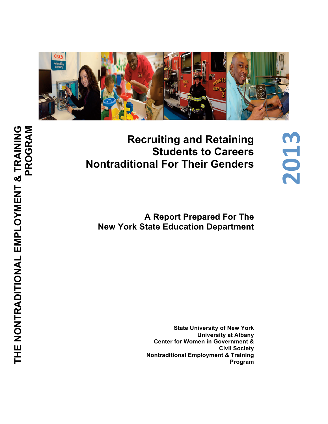

# **Recruiting and Retaining Students to Careers Nontraditional For Their Genders**

**2013**

**A Report Prepared For The New York State Education Department**

> **State University of New York University at Albany Center for Women in Government & Civil Society Nontraditional Employment & Training Program**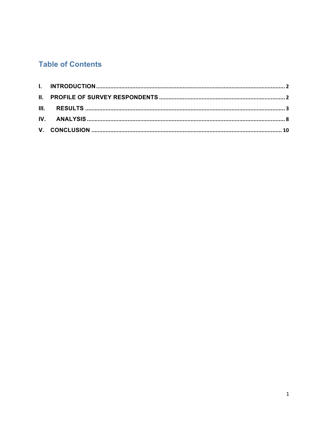## **Table of Contents**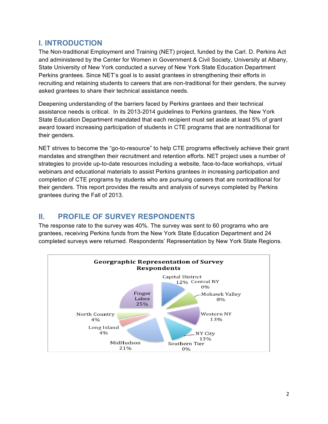## **I. INTRODUCTION**

The Non-traditional Employment and Training (NET) project, funded by the Carl. D. Perkins Act and administered by the Center for Women in Government & Civil Society, University at Albany, State University of New York conducted a survey of New York State Education Department Perkins grantees. Since NET's goal is to assist grantees in strengthening their efforts in recruiting and retaining students to careers that are non-traditional for their genders, the survey asked grantees to share their technical assistance needs.

Deepening understanding of the barriers faced by Perkins grantees and their technical assistance needs is critical. In its 2013-2014 guidelines to Perkins grantees, the New York State Education Department mandated that each recipient must set aside at least 5% of grant award toward increasing participation of students in CTE programs that are nontraditional for their genders.

NET strives to become the "go-to-resource" to help CTE programs effectively achieve their grant mandates and strengthen their recruitment and retention efforts. NET project uses a number of strategies to provide up-to-date resources including a website, face-to-face workshops, virtual webinars and educational materials to assist Perkins grantees in increasing participation and completion of CTE programs by students who are pursuing careers that are nontraditional for their genders. This report provides the results and analysis of surveys completed by Perkins grantees during the Fall of 2013.

## **II. PROFILE OF SURVEY RESPONDENTS**

The response rate to the survey was 40%. The survey was sent to 60 programs who are grantees, receiving Perkins funds from the New York State Education Department and 24 completed surveys were returned. Respondents' Representation by New York State Regions.

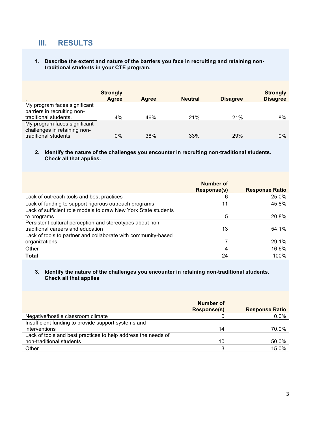## **III. RESULTS**

#### **1. Describe the extent and nature of the barriers you face in recruiting and retaining nontraditional students in your CTE program.**

|                                                                                      | <b>Strongly</b><br><b>Agree</b> | Agree | <b>Neutral</b> | <b>Disagree</b> | <b>Strongly</b><br><b>Disagree</b> |
|--------------------------------------------------------------------------------------|---------------------------------|-------|----------------|-----------------|------------------------------------|
| My program faces significant<br>barriers in recruiting non-<br>traditional students. | $4\%$                           | 46%   | 21%            | 21%             | 8%                                 |
| My program faces significant<br>challenges in retaining non-<br>traditional students | 0%                              | 38%   | 33%            | 29%             | 0%                                 |

#### **2. Identify the nature of the challenges you encounter in recruiting non-traditional students. Check all that applies.**

|                                                                | Number of<br>Response(s) | <b>Response Ratio</b> |
|----------------------------------------------------------------|--------------------------|-----------------------|
| Lack of outreach tools and best practices                      | 6                        | 25.0%                 |
| Lack of funding to support rigorous outreach programs          | 11                       | 45.8%                 |
| Lack of sufficient role models to draw New York State students |                          |                       |
| to programs                                                    | 5                        | 20.8%                 |
| Persistent cultural perception and stereotypes about non-      |                          |                       |
| traditional careers and education                              | 13                       | 54.1%                 |
| Lack of tools to partner and collaborate with community-based  |                          |                       |
| organizations                                                  |                          | 29.1%                 |
| Other                                                          | 4                        | 16.6%                 |
| <b>Total</b>                                                   | 24                       | 100%                  |

#### **3. Identify the nature of the challenges you encounter in retaining non-traditional students. Check all that applies**

|                                                               | Number of          |                       |
|---------------------------------------------------------------|--------------------|-----------------------|
|                                                               | <b>Response(s)</b> | <b>Response Ratio</b> |
| Negative/hostile classroom climate                            |                    | $0.0\%$               |
| Insufficient funding to provide support systems and           |                    |                       |
| interventions                                                 | 14                 | 70.0%                 |
| Lack of tools and best practices to help address the needs of |                    |                       |
| non-traditional students                                      | 10                 | 50.0%                 |
| Other                                                         |                    | 15.0%                 |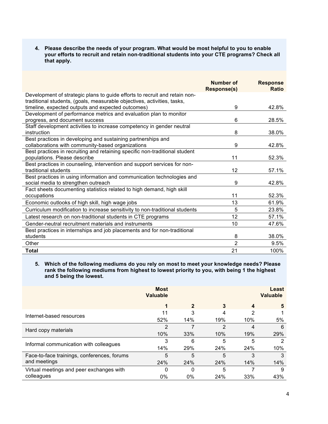**4. Please describe the needs of your program. What would be most helpful to you to enable your efforts to recruit and retain non-traditional students into your CTE programs? Check all that apply.**

|                                                                                                                                                       | <b>Number of</b><br><b>Response(s)</b> | <b>Response</b><br><b>Ratio</b> |
|-------------------------------------------------------------------------------------------------------------------------------------------------------|----------------------------------------|---------------------------------|
| Development of strategic plans to guide efforts to recruit and retain non-<br>traditional students, (goals, measurable objectives, activities, tasks, |                                        |                                 |
| timeline, expected outputs and expected outcomes)                                                                                                     | 9                                      | 42.8%                           |
| Development of performance metrics and evaluation plan to monitor                                                                                     |                                        |                                 |
| progress, and document success                                                                                                                        | 6                                      | 28.5%                           |
| Staff development activities to increase competency in gender neutral                                                                                 |                                        |                                 |
| instruction                                                                                                                                           | 8                                      | 38.0%                           |
| Best practices in developing and sustaining partnerships and                                                                                          |                                        |                                 |
| collaborations with community-based organizations                                                                                                     | 9                                      | 42.8%                           |
| Best practices in recruiting and retaining specific non-traditional student                                                                           |                                        |                                 |
| populations. Please describe                                                                                                                          | 11                                     | 52.3%                           |
| Best practices in counseling, intervention and support services for non-                                                                              |                                        |                                 |
| traditional students                                                                                                                                  | 12                                     | 57.1%                           |
| Best practices in using information and communication technologies and                                                                                |                                        |                                 |
| social media to strengthen outreach                                                                                                                   | 9                                      | 42.8%                           |
| Fact sheets documenting statistics related to high demand, high skill                                                                                 |                                        |                                 |
| occupations                                                                                                                                           | 11                                     | 52.3%                           |
| Economic outlooks of high skill, high wage jobs                                                                                                       | 13                                     | 61.9%                           |
| Curriculum modification to increase sensitivity to non-traditional students                                                                           | 5                                      | 23.8%                           |
| Latest research on non-traditional students in CTE programs                                                                                           | 12                                     | 57.1%                           |
| Gender-neutral recruitment materials and instruments                                                                                                  | 10                                     | 47.6%                           |
| Best practices in internships and job placements and for non-traditional                                                                              |                                        |                                 |
| students                                                                                                                                              | 8                                      | 38.0%                           |
| Other                                                                                                                                                 | $\overline{2}$                         | 9.5%                            |
| Total                                                                                                                                                 | 21                                     | 100%                            |

**5. Which of the following mediums do you rely on most to meet your knowledge needs? Please rank the following mediums from highest to lowest priority to you, with being 1 the highest and 5 being the lowest.**

|                                             | <b>Most</b><br><b>Valuable</b> |              |     |     | Least<br><b>Valuable</b> |
|---------------------------------------------|--------------------------------|--------------|-----|-----|--------------------------|
|                                             | 1                              | $\mathbf{2}$ | 3   | 4   | 5                        |
| Internet-based resources                    | 11                             | 3            | 4   | 2   |                          |
|                                             | 52%                            | 14%          | 19% | 10% | 5%                       |
| Hard copy materials                         | 2                              |              | 2   | 4   | 6                        |
|                                             | 10%                            | 33%          | 10% | 19% | 29%                      |
| Informal communication with colleagues      | 3                              | 6            | 5   | 5   | 2                        |
|                                             | 14%                            | 29%          | 24% | 24% | 10%                      |
| Face-to-face trainings, conferences, forums | 5                              | 5            | 5   | 3   | 3                        |
| and meetings                                | 24%                            | 24%          | 24% | 14% | 14%                      |
| Virtual meetings and peer exchanges with    | 0                              | 0            | 5   |     | 9                        |
| colleagues                                  | 0%                             | 0%           | 24% | 33% | 43%                      |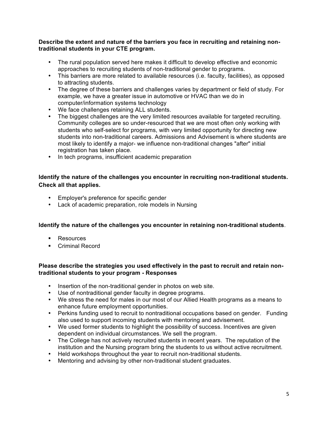#### **Describe the extent and nature of the barriers you face in recruiting and retaining nontraditional students in your CTE program.**

- The rural population served here makes it difficult to develop effective and economic approaches to recruiting students of non-traditional gender to programs.
- This barriers are more related to available resources (i.e. faculty, facilities), as opposed to attracting students.
- The degree of these barriers and challenges varies by department or field of study. For example, we have a greater issue in automotive or HVAC than we do in computer/information systems technology
- We face challenges retaining ALL students.
- The biggest challenges are the very limited resources available for targeted recruiting. Community colleges are so under-resourced that we are most often only working with students who self-select for programs, with very limited opportunity for directing new students into non-traditional careers. Admissions and Advisement is where students are most likely to identify a major- we influence non-traditional changes "after" initial registration has taken place.
- In tech programs, insufficient academic preparation

#### **Identify the nature of the challenges you encounter in recruiting non-traditional students. Check all that applies.**

- Employer's preference for specific gender
- Lack of academic preparation, role models in Nursing

#### **Identify the nature of the challenges you encounter in retaining non-traditional students**.

- **Resources**
- Criminal Record

#### **Please describe the strategies you used effectively in the past to recruit and retain nontraditional students to your program - Responses**

- Insertion of the non-traditional gender in photos on web site.
- Use of nontraditional gender faculty in degree programs.
- We stress the need for males in our most of our Allied Health programs as a means to enhance future employment opportunities.
- Perkins funding used to recruit to nontraditional occupations based on gender. Funding also used to support incoming students with mentoring and advisement.
- We used former students to highlight the possibility of success. Incentives are given dependent on individual circumstances. We sell the program.
- The College has not actively recruited students in recent years. The reputation of the institution and the Nursing program bring the students to us without active recruitment.
- Held workshops throughout the year to recruit non-traditional students.
- Mentoring and advising by other non-traditional student graduates.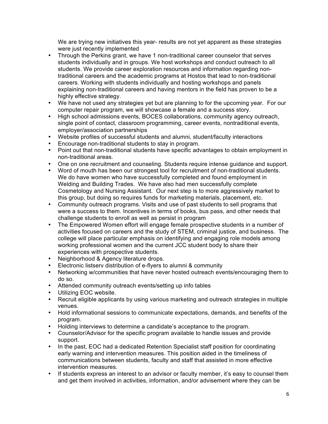We are trying new initiatives this year- results are not yet apparent as these strategies were just recently implemented

- Through the Perkins grant, we have 1 non-traditional career counselor that serves students individually and in groups. We host workshops and conduct outreach to all students. We provide career exploration resources and information regarding nontraditional careers and the academic programs at Hostos that lead to non-traditional careers. Working with students individually and hosting workshops and panels explaining non-traditional careers and having mentors in the field has proven to be a highly effective strategy.
- We have not used any strategies yet but are planning to for the upcoming year. For our computer repair program, we will showcase a female and a success story.
- High school admissions events, BOCES collaborations, community agency outreach, single point of contact, classroom programming, career events, nontraditional events, employer/association partnerships
- Website profiles of successful students and alumni, student/faculty interactions
- Encourage non-traditional students to stay in program.
- Point out that non-traditional students have specific advantages to obtain employment in non-traditional areas.
- One on one recruitment and counseling. Students require intense guidance and support.
- Word of mouth has been our strongest tool for recruitment of non-traditional students. We do have women who have successfully completed and found employment in Welding and Building Trades. We have also had men successfully complete Cosmetology and Nursing Assistant. Our next step is to more aggressively market to this group, but doing so requires funds for marketing materials, placement, etc.
- Community outreach programs. Visits and use of past students to sell programs that were a success to them. Incentives in terms of books, bus pass, and other needs that challenge students to enroll as well as persist in program
- The Empowered Women effort will engage female prospective students in a number of activities focused on careers and the study of STEM, criminal justice, and business. The college will place particular emphasis on identifying and engaging role models among working professional women and the current JCC student body to share their experiences with prospective students.
- Neighborhood & Agency literature drops.
- Electronic listserv distribution of e-flyers to alumni & community
- Networking w/communities that have never hosted outreach events/encouraging them to do so.
- Attended community outreach events/setting up info tables
- Utilizing EOC website.
- Recruit eligible applicants by using various marketing and outreach strategies in multiple venues.
- Hold informational sessions to communicate expectations, demands, and benefits of the program.
- Holding interviews to determine a candidate's acceptance to the program.
- Counselor/Advisor for the specific program available to handle issues and provide support.
- In the past, EOC had a dedicated Retention Specialist staff position for coordinating early warning and intervention measures. This position aided in the timeliness of communications between students, faculty and staff that assisted in more effective intervention measures.
- If students express an interest to an advisor or faculty member, it's easy to counsel them and get them involved in activities, information, and/or advisement where they can be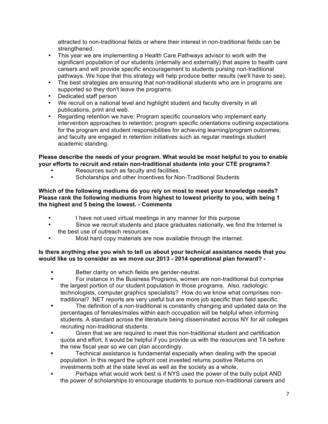attracted to non-traditional fields or where their interest in non-traditional fields can be strengthened.

- This year we are implementing a Health Care Pathways advisor to work with the significant population of our students (internally and externally) that aspire to health care careers and will provide specific encouragement to students pursing non-traditional pathways. We hope that this strategy will help produce better results (we'll have to see).
- The best strategies are ensuring that non-traditional students who are in programs are supported so they don't leave the programs.
- Dedicated staff person
- We recruit on a national level and highlight student and faculty diversity in all publications, print and web.
- Regarding retention we have: Program specific counselors who implement early intervention approaches to retention; program specific orientations outlining expectations for the program and student responsibilities for achieving learning/program outcomes; and faculty are engaged in retention initiatives such as regular meetings student academic standing.

#### **Please describe the needs of your program. What would be most helpful to you to enable your efforts to recruit and retain non-traditional students into your CTE programs?**

- Resources such as faculty and facilities.
- Scholarships and other Incentives for Non-Traditional Students

#### **Which of the following mediums do you rely on most to meet your knowledge needs? Please rank the following mediums from highest to lowest priority to you, with being 1 the highest and 5 being the lowest. - Comments**

- I have not used virtual meetings in any manner for this purpose
- Since we recruit students and place graduates nationally, we find the Internet is the best use of outreach resources.
- Most hard copy materials are now available through the internet.

#### **Is there anything else you wish to tell us about your technical assistance needs that you would like us to consider as we move our 2013 - 2014 operational plan forward? -**

- **Better clarity on which fields are gender-neutral.**
- For instance in the Business Programs, women are non-traditional but comprise the largest portion of our student population in those programs. Also, radiologic technologists, computer graphics specialists? How do we know what comprises nontraditional? NET reports are very useful but are more job specific than field specific.
- The definition of a non-traditional is constantly changing and updated data on the percentages of females/males within each occupation will be helpful when informing students. A standard across the literature being disseminated across NY for all colleges recruiting non-traditional students.
- Given that we are required to meet this non-traditional student and certification quota and effort, it would be helpful if you provide us with the resources and TA before the new fiscal year so we can plan accordingly.
- **Technical assistance is fundamental especially when dealing with the special** population. In this regard the upfront cost invested returns positive Returns on investments both at the state level as well as the society as a whole.
- **Perhaps what would work best is if NYS used the power of the bully pulpit AND** the power of scholarships to encourage students to pursue non-traditional careers and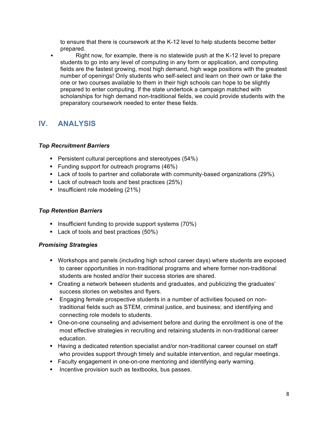to ensure that there is coursework at the K-12 level to help students become better prepared.

 Right now, for example, there is no statewide push at the K-12 level to prepare students to go into any level of computing in any form or application, and computing fields are the fastest growing, most high demand, high wage positions with the greatest number of openings! Only students who self-select and learn on their own or take the one or two courses available to them in their high schools can hope to be slightly prepared to enter computing. If the state undertook a campaign matched with scholarships for high demand non-traditional fields, we could provide students with the preparatory coursework needed to enter these fields.

## **IV. ANALYSIS**

#### *Top Recruitment Barriers*

- **Persistent cultural perceptions and stereotypes (54%)**
- **Funding support for outreach programs (46%)**
- Lack of tools to partner and collaborate with community-based organizations (29%).
- **Lack of outreach tools and best practices (25%)**
- **Insufficient role modeling (21%)**

#### *Top Retention Barriers*

- **Insufficient funding to provide support systems (70%)**
- Lack of tools and best practices (50%)

#### *Promising Strategies*

- Workshops and panels (including high school career days) where students are exposed to career opportunities in non-traditional programs and where former non-traditional students are hosted and/or their success stories are shared.
- Creating a network between students and graduates, and publicizing the graduates' success stories on websites and flyers.
- Engaging female prospective students in a number of activities focused on nontraditional fields such as STEM, criminal justice, and business; and identifying and connecting role models to students.
- One-on-one counseling and advisement before and during the enrollment is one of the most effective strategies in recruiting and retaining students in non-traditional career education.
- **Having a dedicated retention specialist and/or non-traditional career counsel on staff** who provides support through timely and suitable intervention, and regular meetings.
- Faculty engagement in one-on-one mentoring and identifying early warning.
- **Incentive provision such as textbooks, bus passes.**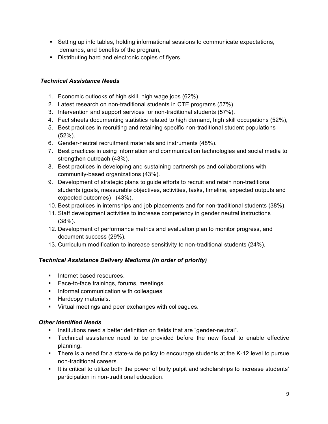- Setting up info tables, holding informational sessions to communicate expectations, demands, and benefits of the program,
- Distributing hard and electronic copies of flyers.

#### *Technical Assistance Needs*

- 1. Economic outlooks of high skill, high wage jobs (62%).
- 2. Latest research on non-traditional students in CTE programs (57%)
- 3. Intervention and support services for non-traditional students (57%).
- 4. Fact sheets documenting statistics related to high demand, high skill occupations (52%),
- 5. Best practices in recruiting and retaining specific non-traditional student populations (52%).
- 6. Gender-neutral recruitment materials and instruments (48%).
- 7. Best practices in using information and communication technologies and social media to strengthen outreach (43%).
- 8. Best practices in developing and sustaining partnerships and collaborations with community-based organizations (43%).
- 9. Development of strategic plans to guide efforts to recruit and retain non-traditional students (goals, measurable objectives, activities, tasks, timeline, expected outputs and expected outcomes) (43%).
- 10. Best practices in internships and job placements and for non-traditional students (38%).
- 11. Staff development activities to increase competency in gender neutral instructions (38%).
- 12. Development of performance metrics and evaluation plan to monitor progress, and document success (29%).
- 13. Curriculum modification to increase sensitivity to non-traditional students (24%).

### *Technical Assistance Delivery Mediums (in order of priority)*

- **Internet based resources.**
- **Face-to-face trainings, forums, meetings.**
- **Informal communication with colleagues**
- **Hardcopy materials.**
- Virtual meetings and peer exchanges with colleagues.

#### *Other Identified Needs*

- Institutions need a better definition on fields that are "gender-neutral".
- Technical assistance need to be provided before the new fiscal to enable effective planning.
- There is a need for a state-wide policy to encourage students at the K-12 level to pursue non-traditional careers.
- It is critical to utilize both the power of bully pulpit and scholarships to increase students' participation in non-traditional education.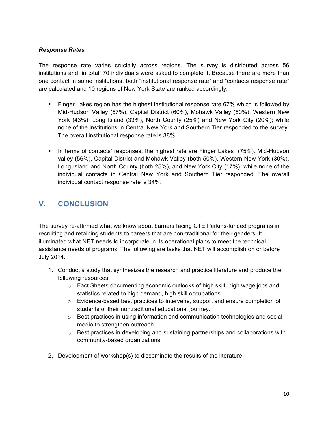#### *Response Rates*

The response rate varies crucially across regions. The survey is distributed across 56 institutions and, in total, 70 individuals were asked to complete it. Because there are more than one contact in some institutions, both "institutional response rate" and "contacts response rate" are calculated and 10 regions of New York State are ranked accordingly.

- Finger Lakes region has the highest institutional response rate 67% which is followed by Mid-Hudson Valley (57%), Capital District (60%), Mohawk Valley (50%), Western New York (43%), Long Island (33%), North County (25%) and New York City (20%); while none of the institutions in Central New York and Southern Tier responded to the survey. The overall institutional response rate is 38%.
- **I.** In terms of contacts' responses, the highest rate are Finger Lakes (75%), Mid-Hudson valley (56%), Capital District and Mohawk Valley (both 50%), Western New York (30%), Long Island and North County (both 25%), and New York City (17%), while none of the individual contacts in Central New York and Southern Tier responded. The overall individual contact response rate is 34%.

## **V. CONCLUSION**

The survey re-affirmed what we know about barriers facing CTE Perkins-funded programs in recruiting and retaining students to careers that are non-traditional for their genders. It illuminated what NET needs to incorporate in its operational plans to meet the technical assistance needs of programs. The following are tasks that NET will accomplish on or before July 2014.

- 1. Conduct a study that synthesizes the research and practice literature and produce the following resources:
	- $\circ$  Fact Sheets documenting economic outlooks of high skill, high wage jobs and statistics related to high demand, high skill occupations.
	- $\circ$  Evidence-based best practices to intervene, support and ensure completion of students of their nontraditional educational journey.
	- $\circ$  Best practices in using information and communication technologies and social media to strengthen outreach
	- o Best practices in developing and sustaining partnerships and collaborations with community-based organizations.
- 2. Development of workshop(s) to disseminate the results of the literature.